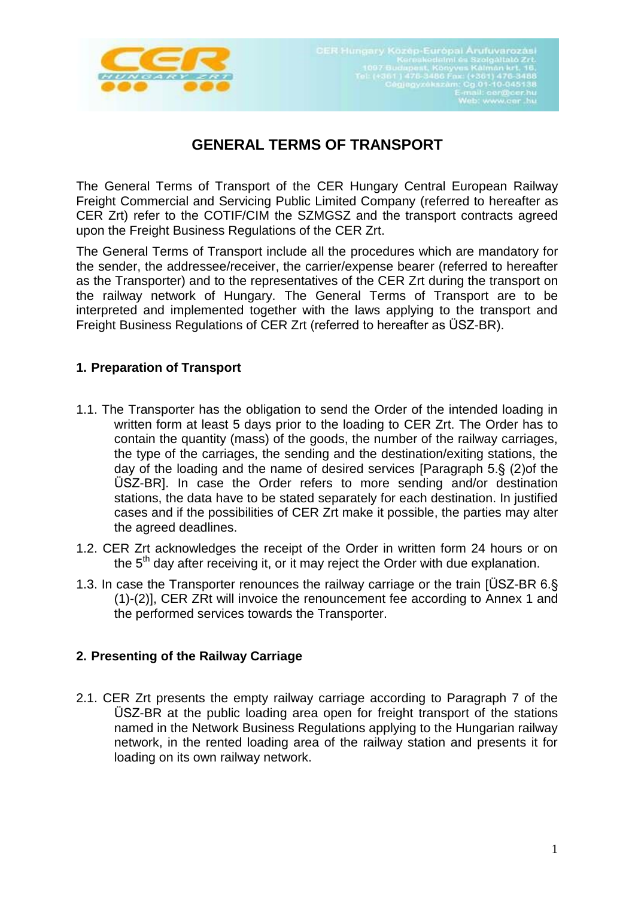

# **GENERAL TERMS OF TRANSPORT**

The General Terms of Transport of the CER Hungary Central European Railway Freight Commercial and Servicing Public Limited Company (referred to hereafter as CER Zrt) refer to the COTIF/CIM the SZMGSZ and the transport contracts agreed upon the Freight Business Regulations of the CER Zrt.

The General Terms of Transport include all the procedures which are mandatory for the sender, the addressee/receiver, the carrier/expense bearer (referred to hereafter as the Transporter) and to the representatives of the CER Zrt during the transport on the railway network of Hungary. The General Terms of Transport are to be interpreted and implemented together with the laws applying to the transport and Freight Business Regulations of CER Zrt (referred to hereafter as ÜSZ-BR).

## **1. Preparation of Transport**

- 1.1. The Transporter has the obligation to send the Order of the intended loading in written form at least 5 days prior to the loading to CER Zrt. The Order has to contain the quantity (mass) of the goods, the number of the railway carriages, the type of the carriages, the sending and the destination/exiting stations, the day of the loading and the name of desired services [Paragraph 5.§ (2)of the ÜSZ-BR]. In case the Order refers to more sending and/or destination stations, the data have to be stated separately for each destination. In justified cases and if the possibilities of CER Zrt make it possible, the parties may alter the agreed deadlines.
- 1.2. CER Zrt acknowledges the receipt of the Order in written form 24 hours or on the  $5<sup>th</sup>$  day after receiving it, or it may reject the Order with due explanation.
- 1.3. In case the Transporter renounces the railway carriage or the train [ÜSZ-BR 6.§ (1)-(2)], CER ZRt will invoice the renouncement fee according to Annex 1 and the performed services towards the Transporter.

### **2. Presenting of the Railway Carriage**

2.1. CER Zrt presents the empty railway carriage according to Paragraph 7 of the ÜSZ-BR at the public loading area open for freight transport of the stations named in the Network Business Regulations applying to the Hungarian railway network, in the rented loading area of the railway station and presents it for loading on its own railway network.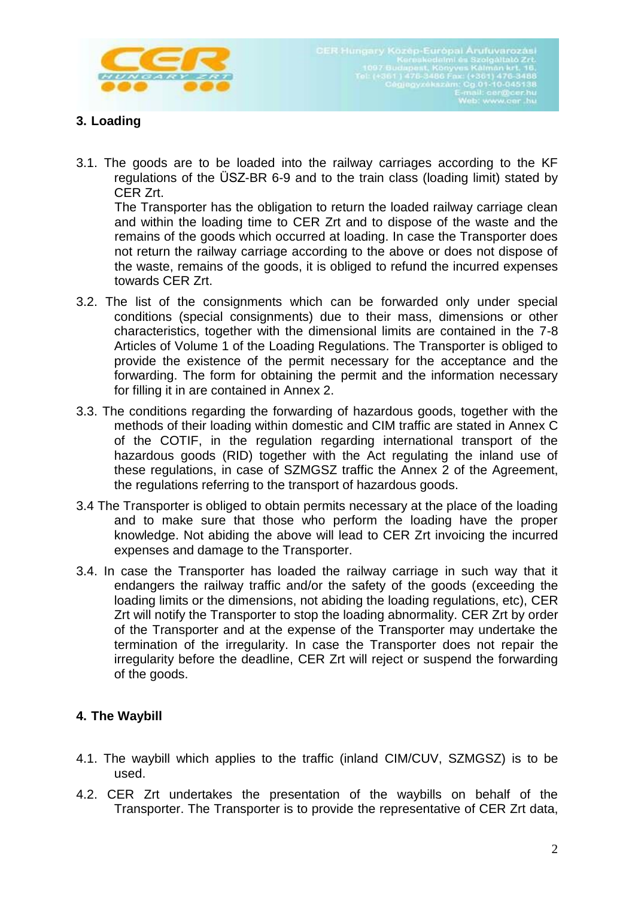

## **3. Loading**

3.1. The goods are to be loaded into the railway carriages according to the KF regulations of the ÜSZ-BR 6-9 and to the train class (loading limit) stated by CER Zrt.

The Transporter has the obligation to return the loaded railway carriage clean and within the loading time to CER Zrt and to dispose of the waste and the remains of the goods which occurred at loading. In case the Transporter does not return the railway carriage according to the above or does not dispose of the waste, remains of the goods, it is obliged to refund the incurred expenses towards CER Zrt.

- 3.2. The list of the consignments which can be forwarded only under special conditions (special consignments) due to their mass, dimensions or other characteristics, together with the dimensional limits are contained in the 7-8 Articles of Volume 1 of the Loading Regulations. The Transporter is obliged to provide the existence of the permit necessary for the acceptance and the forwarding. The form for obtaining the permit and the information necessary for filling it in are contained in Annex 2.
- 3.3. The conditions regarding the forwarding of hazardous goods, together with the methods of their loading within domestic and CIM traffic are stated in Annex C of the COTIF, in the regulation regarding international transport of the hazardous goods (RID) together with the Act regulating the inland use of these regulations, in case of SZMGSZ traffic the Annex 2 of the Agreement, the regulations referring to the transport of hazardous goods.
- 3.4 The Transporter is obliged to obtain permits necessary at the place of the loading and to make sure that those who perform the loading have the proper knowledge. Not abiding the above will lead to CER Zrt invoicing the incurred expenses and damage to the Transporter.
- 3.4. In case the Transporter has loaded the railway carriage in such way that it endangers the railway traffic and/or the safety of the goods (exceeding the loading limits or the dimensions, not abiding the loading regulations, etc), CER Zrt will notify the Transporter to stop the loading abnormality. CER Zrt by order of the Transporter and at the expense of the Transporter may undertake the termination of the irregularity. In case the Transporter does not repair the irregularity before the deadline, CER Zrt will reject or suspend the forwarding of the goods.

### **4. The Waybill**

- 4.1. The waybill which applies to the traffic (inland CIM/CUV, SZMGSZ) is to be used.
- 4.2. CER Zrt undertakes the presentation of the waybills on behalf of the Transporter. The Transporter is to provide the representative of CER Zrt data,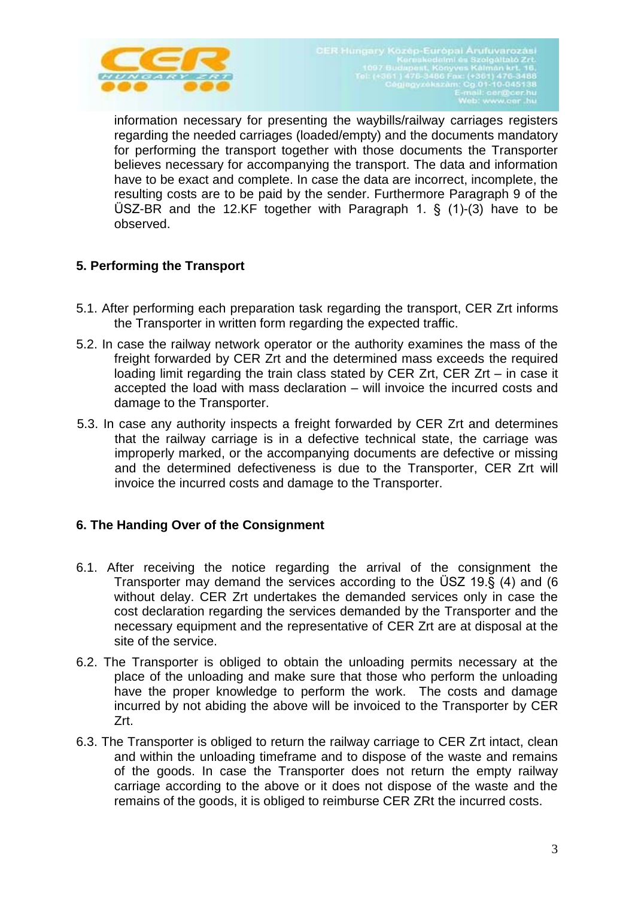

information necessary for presenting the waybills/railway carriages registers regarding the needed carriages (loaded/empty) and the documents mandatory for performing the transport together with those documents the Transporter believes necessary for accompanying the transport. The data and information have to be exact and complete. In case the data are incorrect, incomplete, the resulting costs are to be paid by the sender. Furthermore Paragraph 9 of the ÜSZ-BR and the 12.KF together with Paragraph 1. § (1)-(3) have to be observed.

## **5. Performing the Transport**

- 5.1. After performing each preparation task regarding the transport, CER Zrt informs the Transporter in written form regarding the expected traffic.
- 5.2. In case the railway network operator or the authority examines the mass of the freight forwarded by CER Zrt and the determined mass exceeds the required loading limit regarding the train class stated by CER Zrt, CER Zrt – in case it accepted the load with mass declaration – will invoice the incurred costs and damage to the Transporter.
- 5.3. In case any authority inspects a freight forwarded by CER Zrt and determines that the railway carriage is in a defective technical state, the carriage was improperly marked, or the accompanying documents are defective or missing and the determined defectiveness is due to the Transporter, CER Zrt will invoice the incurred costs and damage to the Transporter.

### **6. The Handing Over of the Consignment**

- 6.1. After receiving the notice regarding the arrival of the consignment the Transporter may demand the services according to the ÜSZ 19.§ (4) and (6 without delay. CER Zrt undertakes the demanded services only in case the cost declaration regarding the services demanded by the Transporter and the necessary equipment and the representative of CER Zrt are at disposal at the site of the service.
- 6.2. The Transporter is obliged to obtain the unloading permits necessary at the place of the unloading and make sure that those who perform the unloading have the proper knowledge to perform the work. The costs and damage incurred by not abiding the above will be invoiced to the Transporter by CER Zrt.
- 6.3. The Transporter is obliged to return the railway carriage to CER Zrt intact, clean and within the unloading timeframe and to dispose of the waste and remains of the goods. In case the Transporter does not return the empty railway carriage according to the above or it does not dispose of the waste and the remains of the goods, it is obliged to reimburse CER ZRt the incurred costs.